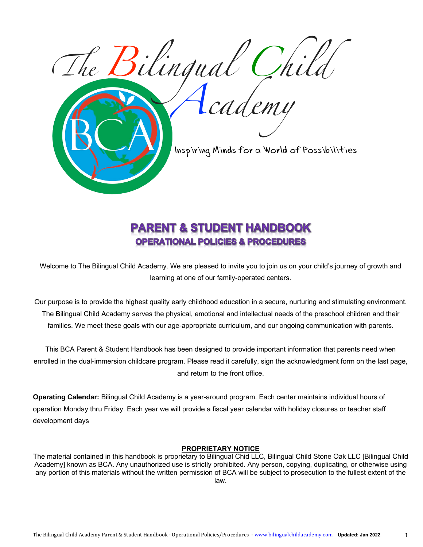

# **PARENT & STUDENT HANDBOOK OPERATIONAL POLICIES & PROCEDURES**

Welcome to The Bilingual Child Academy. We are pleased to invite you to join us on your child's journey of growth and learning at one of our family-operated centers.

Our purpose is to provide the highest quality early childhood education in a secure, nurturing and stimulating environment. The Bilingual Child Academy serves the physical, emotional and intellectual needs of the preschool children and their families. We meet these goals with our age-appropriate curriculum, and our ongoing communication with parents.

This BCA Parent & Student Handbook has been designed to provide important information that parents need when enrolled in the dual-immersion childcare program. Please read it carefully, sign the acknowledgment form on the last page, and return to the front office.

**Operating Calendar:** Bilingual Child Academy is a year-around program. Each center maintains individual hours of operation Monday thru Friday. Each year we will provide a fiscal year calendar with holiday closures or teacher staff development days

#### **PROPRIETARY NOTICE**

The material contained in this handbook is proprietary to Bilingual Chid LLC, Bilingual Child Stone Oak LLC [Bilingual Child Academy] known as BCA. Any unauthorized use is strictly prohibited. Any person, copying, duplicating, or otherwise using any portion of this materials without the written permission of BCA will be subject to prosecution to the fullest extent of the law.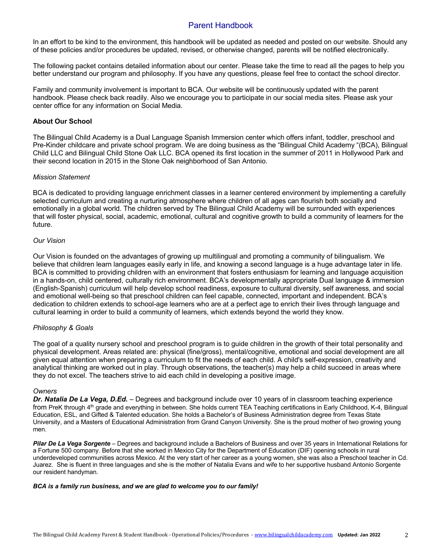# Parent Handbook

In an effort to be kind to the environment, this handbook will be updated as needed and posted on our website. Should any of these policies and/or procedures be updated, revised, or otherwise changed, parents will be notified electronically.

The following packet contains detailed information about our center. Please take the time to read all the pages to help you better understand our program and philosophy. If you have any questions, please feel free to contact the school director.

Family and community involvement is important to BCA. Our website will be continuously updated with the parent handbook. Please check back readily. Also we encourage you to participate in our social media sites. Please ask your center office for any information on Social Media.

#### **About Our School**

The Bilingual Child Academy is a Dual Language Spanish Immersion center which offers infant, toddler, preschool and Pre-Kinder childcare and private school program. We are doing business as the "Bilingual Child Academy "(BCA), Bilingual Child LLC and Bilingual Child Stone Oak LLC. BCA opened its first location in the summer of 2011 in Hollywood Park and their second location in 2015 in the Stone Oak neighborhood of San Antonio.

#### *Mission Statement*

BCA is dedicated to providing language enrichment classes in a learner centered environment by implementing a carefully selected curriculum and creating a nurturing atmosphere where children of all ages can flourish both socially and emotionally in a global world. The children served by The Bilingual Child Academy will be surrounded with experiences that will foster physical, social, academic, emotional, cultural and cognitive growth to build a community of learners for the future.

#### *Our Vision*

Our Vision is founded on the advantages of growing up multilingual and promoting a community of bilingualism. We believe that children learn languages easily early in life, and knowing a second language is a huge advantage later in life. BCA is committed to providing children with an environment that fosters enthusiasm for learning and language acquisition in a hands-on, child centered, culturally rich environment. BCA's developmentally appropriate Dual language & immersion (English-Spanish) curriculum will help develop school readiness, exposure to cultural diversity, self awareness, and social and emotional well-being so that preschool children can feel capable, connected, important and independent. BCA's dedication to children extends to school-age learners who are at a perfect age to enrich their lives through language and cultural learning in order to build a community of learners, which extends beyond the world they know.

#### *Philosophy & Goals*

The goal of a quality nursery school and preschool program is to guide children in the growth of their total personality and physical development. Areas related are: physical (fine/gross), mental/cognitive, emotional and social development are all given equal attention when preparing a curriculum to fit the needs of each child. A child's self-expression, creativity and analytical thinking are worked out in play. Through observations, the teacher(s) may help a child succeed in areas where they do not excel. The teachers strive to aid each child in developing a positive image.

#### *Owners*

*Dr. Natalia De La Vega, D.Ed.* – Degrees and background include over 10 years of in classroom teaching experience from PreK through 4<sup>th</sup> grade and everything in between. She holds current TEA Teaching certifications in Early Childhood, K-4, Bilingual Education, ESL, and Gifted & Talented education. She holds a Bachelor's of Business Administration degree from Texas State University, and a Masters of Educational Administration from Grand Canyon University. She is the proud mother of two growing young men.

*Pilar De La Vega Sorgente* – Degrees and background include a Bachelors of Business and over 35 years in International Relations for a Fortune 500 company. Before that she worked in Mexico City for the Department of Education (DIF) opening schools in rural underdeveloped communities across Mexico. At the very start of her career as a young women, she was also a Preschool teacher in Cd. Juarez. She is fluent in three languages and she is the mother of Natalia Evans and wife to her supportive husband Antonio Sorgente our resident handyman.

#### *BCA is a family run business, and we are glad to welcome you to our family!*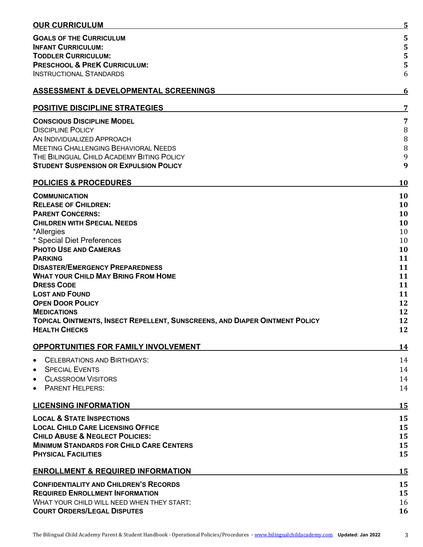|--|

| <b>OUR CURRICULUM</b>                                                                | $\overline{5}$ |
|--------------------------------------------------------------------------------------|----------------|
| <b>GOALS OF THE CURRICULUM</b>                                                       | 5              |
| <b>INFANT CURRICULUM:</b>                                                            | 5              |
| <b>TODDLER CURRICULUM:</b>                                                           | 5              |
| <b>PRESCHOOL &amp; PREK CURRICULUM:</b>                                              | 5              |
| <b>INSTRUCTIONAL STANDARDS</b>                                                       | 6              |
| <b>ASSESSMENT &amp; DEVELOPMENTAL SCREENINGS</b>                                     | <u>6</u>       |
| <b>POSITIVE DISCIPLINE STRATEGIES</b>                                                | 7              |
| <b>CONSCIOUS DISCIPLINE MODEL</b>                                                    | $\overline{7}$ |
| <b>DISCIPLINE POLICY</b>                                                             | $\, 8$         |
| AN INDIVIDUALIZED APPROACH                                                           | $\, 8$         |
| <b>MEETING CHALLENGING BEHAVIORAL NEEDS</b>                                          | $\, 8$         |
| THE BILINGUAL CHILD ACADEMY BITING POLICY                                            | 9              |
| <b>STUDENT SUSPENSION OR EXPULSION POLICY</b>                                        | 9              |
| <b>POLICIES &amp; PROCEDURES</b>                                                     | <b>10</b>      |
| <b>COMMUNICATION</b>                                                                 | 10             |
| <b>RELEASE OF CHILDREN:</b>                                                          | 10             |
| <b>PARENT CONCERNS:</b>                                                              | 10             |
| <b>CHILDREN WITH SPECIAL NEEDS</b>                                                   | 10             |
| *Allergies                                                                           | 10             |
| * Special Diet Preferences                                                           | 10             |
| <b>PHOTO USE AND CAMERAS</b>                                                         | 10             |
| <b>PARKING</b>                                                                       | 11             |
| <b>DISASTER/EMERGENCY PREPAREDNESS</b><br><b>WHAT YOUR CHILD MAY BRING FROM HOME</b> | 11<br>11       |
| <b>DRESS CODE</b>                                                                    | 11             |
| <b>LOST AND FOUND</b>                                                                | 11             |
| <b>OPEN DOOR POLICY</b>                                                              | 12             |
| <b>MEDICATIONS</b>                                                                   | 12             |
| <b>TOPICAL OINTMENTS, INSECT REPELLENT, SUNSCREENS, AND DIAPER OINTMENT POLICY</b>   | 12             |
| <b>HEALTH CHECKS</b>                                                                 | 12             |
| <b>OPPORTUNITIES FOR FAMILY INVOLVEMENT</b>                                          | <u> 14</u>     |
| <b>CELEBRATIONS AND BIRTHDAYS:</b><br>$\bullet$                                      | 14             |
| <b>SPECIAL EVENTS</b><br>$\bullet$                                                   | 14             |
| <b>CLASSROOM VISITORS</b><br>$\bullet$                                               | 14             |
| <b>PARENT HELPERS:</b><br>$\bullet$                                                  | 14             |
| <b>LICENSING INFORMATION</b>                                                         | 15             |
| <b>LOCAL &amp; STATE INSPECTIONS</b>                                                 | 15             |
| <b>LOCAL CHILD CARE LICENSING OFFICE</b>                                             | 15             |
| <b>CHILD ABUSE &amp; NEGLECT POLICIES:</b>                                           | 15             |
| <b>MINIMUM STANDARDS FOR CHILD CARE CENTERS</b>                                      | 15             |
| <b>PHYSICAL FACILITIES</b>                                                           | 15             |
| <b>ENROLLMENT &amp; REQUIRED INFORMATION</b>                                         | 15             |
| <b>CONFIDENTIALITY AND CHILDREN'S RECORDS</b>                                        | 15             |
| <b>REQUIRED ENROLLMENT INFORMATION</b>                                               | 15             |
| WHAT YOUR CHILD WILL NEED WHEN THEY START:                                           | 16             |
| <b>COURT ORDERS/LEGAL DISPUTES</b>                                                   | 16             |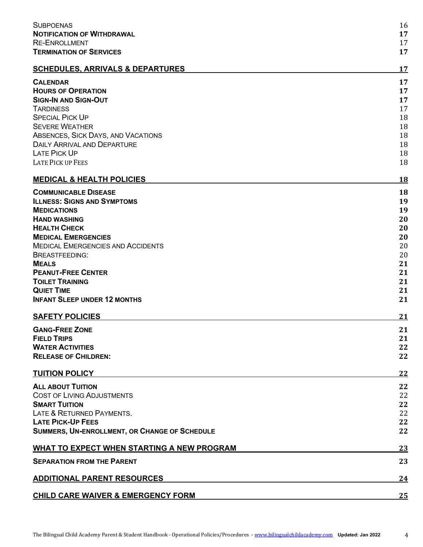| <b>SUBPOENAS</b>                                       | 16        |
|--------------------------------------------------------|-----------|
| <b>NOTIFICATION OF WITHDRAWAL</b>                      | 17        |
| <b>RE-ENROLLMENT</b><br><b>TERMINATION OF SERVICES</b> | 17<br>17  |
|                                                        |           |
| <b>SCHEDULES, ARRIVALS &amp; DEPARTURES</b>            | 17        |
| <b>CALENDAR</b>                                        | 17        |
| <b>HOURS OF OPERATION</b>                              | 17        |
| <b>SIGN-IN AND SIGN-OUT</b>                            | 17        |
| <b>TARDINESS</b>                                       | 17        |
| <b>SPECIAL PICK UP</b>                                 | 18        |
| <b>SEVERE WEATHER</b>                                  | 18        |
| ABSENCES, SICK DAYS, AND VACATIONS                     | 18        |
| <b>DAILY ARRIVAL AND DEPARTURE</b>                     | 18        |
| <b>LATE PICK UP</b>                                    | 18        |
| <b>LATE PICK UP FEES</b>                               | 18        |
| <b>MEDICAL &amp; HEALTH POLICIES</b>                   | <b>18</b> |
| <b>COMMUNICABLE DISEASE</b>                            | 18        |
| <b>ILLNESS: SIGNS AND SYMPTOMS</b>                     | 19        |
| <b>MEDICATIONS</b>                                     | 19        |
| <b>HAND WASHING</b>                                    | 20        |
| <b>HEALTH CHECK</b>                                    | 20        |
| <b>MEDICAL EMERGENCIES</b>                             | 20        |
|                                                        |           |
| <b>MEDICAL EMERGENCIES AND ACCIDENTS</b>               | 20        |
| <b>BREASTFEEDING:</b>                                  | 20        |
| <b>MEALS</b>                                           | 21        |
| <b>PEANUT-FREE CENTER</b>                              | 21        |
| <b>TOILET TRAINING</b>                                 | 21        |
| <b>QUIET TIME</b>                                      | 21        |
| <b>INFANT SLEEP UNDER 12 MONTHS</b>                    | 21        |
| <b>SAFETY POLICIES</b>                                 | 21        |
| <b>GANG-FREE ZONE</b>                                  | 21        |
| <b>FIELD TRIPS</b>                                     | 21        |
| <b>WATER ACTIVITIES</b>                                | 22        |
| <b>RELEASE OF CHILDREN:</b>                            | 22        |
| <b>TUITION POLICY</b>                                  | <u>22</u> |
| <b>ALL ABOUT TUITION</b>                               | 22        |
| <b>COST OF LIVING ADJUSTMENTS</b>                      | 22        |
|                                                        |           |
| <b>SMART TUITION</b>                                   | 22        |
| LATE & RETURNED PAYMENTS.                              | 22        |
| <b>LATE PICK-UP FEES</b>                               | 22        |
| <b>SUMMERS, UN-ENROLLMENT, OR CHANGE OF SCHEDULE</b>   | 22        |
| <b>WHAT TO EXPECT WHEN STARTING A NEW PROGRAM</b>      | <u>23</u> |
| <b>SEPARATION FROM THE PARENT</b>                      | 23        |
| <b>ADDITIONAL PARENT RESOURCES</b>                     | 24        |
|                                                        |           |
| <b>CHILD CARE WAIVER &amp; EMERGENCY FORM</b>          | 25        |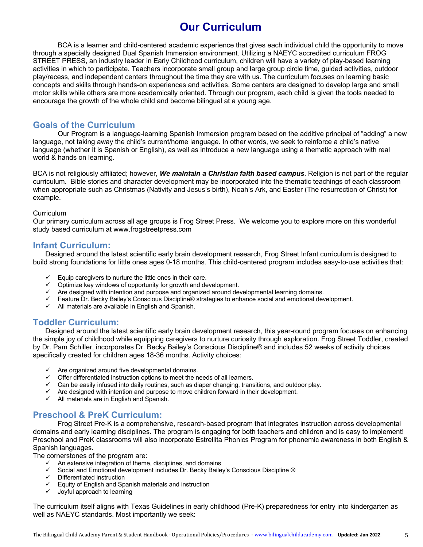# **Our Curriculum**

BCA is a learner and child-centered academic experience that gives each individual child the opportunity to move through a specially designed Dual Spanish Immersion environment. Utilizing a NAEYC accredited curriculum FROG STREET PRESS, an industry leader in Early Childhood curriculum, children will have a variety of play-based learning activities in which to participate. Teachers incorporate small group and large group circle time, guided activities, outdoor play/recess, and independent centers throughout the time they are with us. The curriculum focuses on learning basic concepts and skills through hands-on experiences and activities. Some centers are designed to develop large and small motor skills while others are more academically oriented. Through our program, each child is given the tools needed to encourage the growth of the whole child and become bilingual at a young age.

# **Goals of the Curriculum**

Our Program is a language-learning Spanish Immersion program based on the additive principal of "adding" a new language, not taking away the child's current/home language. In other words, we seek to reinforce a child's native language (whether it is Spanish or English), as well as introduce a new language using a thematic approach with real world & hands on learning.

BCA is not religiously affiliated; however, *We maintain a Christian faith based campus*. Religion is not part of the regular curriculum. Bible stories and character development may be incorporated into the thematic teachings of each classroom when appropriate such as Christmas (Nativity and Jesus's birth), Noah's Ark, and Easter (The resurrection of Christ) for example.

#### **Curriculum**

Our primary curriculum across all age groups is Frog Street Press. We welcome you to explore more on this wonderful study based curriculum at www.frogstreetpress.com

## **Infant Curriculum:**

Designed around the latest scientific early brain development research, Frog Street Infant curriculum is designed to build strong foundations for little ones ages 0-18 months. This child-centered program includes easy-to-use activities that:

- $\checkmark$  Equip caregivers to nurture the little ones in their care.
- $\checkmark$  Optimize key windows of opportunity for growth and development.
- $\checkmark$  Are designed with intention and purpose and organized around developmental learning domains.
- ü Feature Dr. Becky Bailey's Conscious Discipline® strategies to enhance social and emotional development.
- $\checkmark$  All materials are available in English and Spanish.

## **Toddler Curriculum:**

Designed around the latest scientific early brain development research, this year-round program focuses on enhancing the simple joy of childhood while equipping caregivers to nurture curiosity through exploration. Frog Street Toddler, created by Dr. Pam Schiller, incorporates Dr. Becky Bailey's Conscious Discipline® and includes 52 weeks of activity choices specifically created for children ages 18-36 months. Activity choices:

- $\checkmark$  Are organized around five developmental domains.
- $\checkmark$  Offer differentiated instruction options to meet the needs of all learners.
- $\checkmark$  Can be easily infused into daily routines, such as diaper changing, transitions, and outdoor play.
- $\checkmark$  Are designed with intention and purpose to move children forward in their development.
- $\checkmark$  All materials are in English and Spanish.

# **Preschool & PreK Curriculum:**

Frog Street Pre-K is a comprehensive, research-based program that integrates instruction across developmental domains and early learning disciplines. The program is engaging for both teachers and children and is easy to implement! Preschool and PreK classrooms will also incorporate Estrellita Phonics Program for phonemic awareness in both English & Spanish languages.

The cornerstones of the program are:

- $\checkmark$  An extensive integration of theme, disciplines, and domains
- $\checkmark$  Social and Emotional development includes Dr. Becky Bailey's Conscious Discipline ®
- $\overline{v}$  Differentiated instruction
- $\checkmark$  Equity of English and Spanish materials and instruction
- $\checkmark$  Joyful approach to learning

The curriculum itself aligns with Texas Guidelines in early childhood (Pre-K) preparedness for entry into kindergarten as well as NAEYC standards. Most importantly we seek: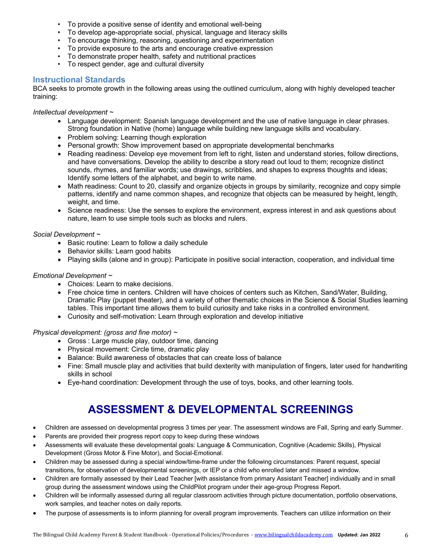- To provide a positive sense of identity and emotional well-being
- To develop age-appropriate social, physical, language and literacy skills
- To encourage thinking, reasoning, questioning and experimentation
- To provide exposure to the arts and encourage creative expression
- To demonstrate proper health, safety and nutritional practices
- To respect gender, age and cultural diversity

#### **Instructional Standards**

BCA seeks to promote growth in the following areas using the outlined curriculum, along with highly developed teacher training:

#### *Intellectual development ~*

- Language development: Spanish language development and the use of native language in clear phrases. Strong foundation in Native (home) language while building new language skills and vocabulary.
- Problem solving: Learning though exploration
- Personal growth: Show improvement based on appropriate developmental benchmarks
- Reading readiness: Develop eye movement from left to right, listen and understand stories, follow directions, and have conversations. Develop the ability to describe a story read out loud to them; recognize distinct sounds, rhymes, and familiar words; use drawings, scribbles, and shapes to express thoughts and ideas; Identify some letters of the alphabet, and begin to write name.
- Math readiness: Count to 20, classify and organize objects in groups by similarity, recognize and copy simple patterns, identify and name common shapes, and recognize that objects can be measured by height, length, weight, and time.
- Science readiness: Use the senses to explore the environment, express interest in and ask questions about nature, learn to use simple tools such as blocks and rulers.

#### *Social Development ~*

- Basic routine: Learn to follow a daily schedule
- Behavior skills: Learn good habits
- Playing skills (alone and in group): Participate in positive social interaction, cooperation, and individual time

#### *Emotional Development ~*

- Choices: Learn to make decisions.
- Free choice time in centers. Children will have choices of centers such as Kitchen, Sand/Water, Building, Dramatic Play (puppet theater), and a variety of other thematic choices in the Science & Social Studies learning tables. This important time allows them to build curiosity and take risks in a controlled environment.
- Curiosity and self-motivation: Learn through exploration and develop initiative

*Physical development: (gross and fine motor) ~*

- Gross : Large muscle play, outdoor time, dancing
- Physical movement: Circle time, dramatic play
- Balance: Build awareness of obstacles that can create loss of balance
- Fine: Small muscle play and activities that build dexterity with manipulation of fingers, later used for handwriting skills in school
- Eye-hand coordination: Development through the use of toys, books, and other learning tools.

# **ASSESSMENT & DEVELOPMENTAL SCREENINGS**

- Children are assessed on developmental progress 3 times per year. The assessment windows are Fall, Spring and early Summer.
- Parents are provided their progress report copy to keep during these windows
- Assessments will evaluate these developmental goals: Language & Communication, Cognitive (Academic Skills), Physical Development (Gross Motor & Fine Motor), and Social-Emotional.
- Children may be assessed during a special window/time-frame under the following circumstances: Parent request, special transitions, for observation of developmental screenings, or IEP or a child who enrolled later and missed a window.
- Children are formally assessed by their Lead Teacher [with assistance from primary Assistant Teacher] individually and in small group during the assessment windows using the ChildPilot program under their age-group Progress Report.
- Children will be informally assessed during all regular classroom activities through picture documentation, portfolio observations, work samples, and teacher notes on daily reports.
- The purpose of assessments is to inform planning for overall program improvements. Teachers can utilize information on their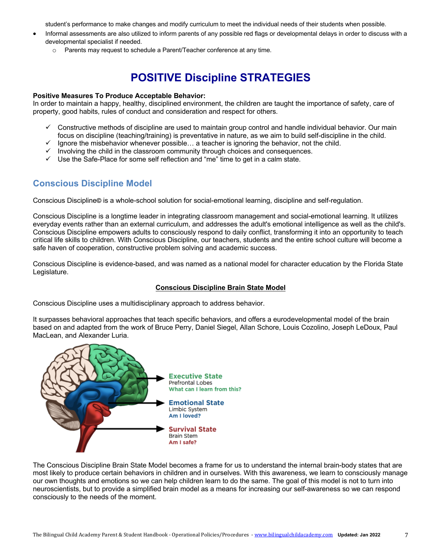student's performance to make changes and modify curriculum to meet the individual needs of their students when possible.

- Informal assessments are also utilized to inform parents of any possible red flags or developmental delays in order to discuss with a developmental specialist if needed.
	- o Parents may request to schedule a Parent/Teacher conference at any time.

# **POSITIVE Discipline STRATEGIES**

#### **Positive Measures To Produce Acceptable Behavior:**

In order to maintain a happy, healthy, disciplined environment, the children are taught the importance of safety, care of property, good habits, rules of conduct and consideration and respect for others.

- $\checkmark$  Constructive methods of discipline are used to maintain group control and handle individual behavior. Our main focus on discipline (teaching/training) is preventative in nature, as we aim to build self-discipline in the child.
- $\checkmark$  Ignore the misbehavior whenever possible... a teacher is ignoring the behavior, not the child.
- $\checkmark$  Involving the child in the classroom community through choices and consequences.
- $\checkmark$  Use the Safe-Place for some self reflection and "me" time to get in a calm state.

# **Conscious Discipline Model**

Conscious Discipline**©** is a whole-school solution for social-emotional learning, discipline and self-regulation.

Conscious Discipline is a longtime leader in integrating classroom management and social-emotional learning. It utilizes everyday events rather than an external curriculum, and addresses the adult's emotional intelligence as well as the child's. Conscious Discipline empowers adults to consciously respond to daily conflict, transforming it into an opportunity to teach critical life skills to children. With Conscious Discipline, our teachers, students and the entire school culture will become a safe haven of cooperation, constructive problem solving and academic success.

Conscious Discipline is evidence-based, and was named as a national model for character education by the Florida State Legislature.

#### **Conscious Discipline Brain State Model**

Conscious Discipline uses a multidisciplinary approach to address behavior.

It surpasses behavioral approaches that teach specific behaviors, and offers a eurodevelopmental model of the brain based on and adapted from the work of Bruce Perry, Daniel Siegel, Allan Schore, Louis Cozolino, Joseph LeDoux, Paul MacLean, and Alexander Luria.



The Conscious Discipline Brain State Model becomes a frame for us to understand the internal brain-body states that are most likely to produce certain behaviors in children and in ourselves. With this awareness, we learn to consciously manage our own thoughts and emotions so we can help children learn to do the same. The goal of this model is not to turn into neuroscientists, but to provide a simplified brain model as a means for increasing our self-awareness so we can respond consciously to the needs of the moment.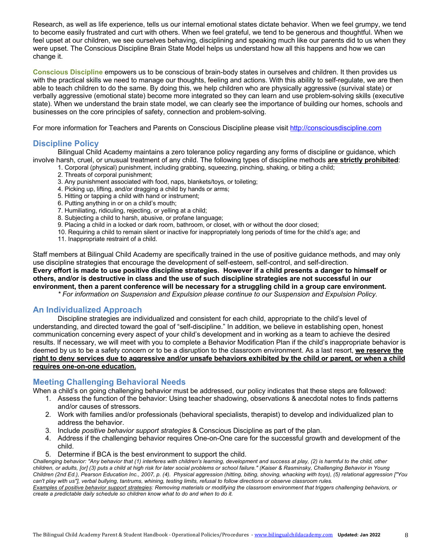Research, as well as life experience, tells us our internal emotional states dictate behavior. When we feel grumpy, we tend to become easily frustrated and curt with others. When we feel grateful, we tend to be generous and thoughtful. When we feel upset at our children, we see ourselves behaving, disciplining and speaking much like our parents did to us when they were upset. The Conscious Discipline Brain State Model helps us understand how all this happens and how we can change it.

**Conscious Discipline** empowers us to be conscious of brain-body states in ourselves and children. It then provides us with the practical skills we need to manage our thoughts, feeling and actions. With this ability to self-regulate, we are then able to teach children to do the same. By doing this, we help children who are physically aggressive (survival state) or verbally aggressive (emotional state) become more integrated so they can learn and use problem-solving skills (executive state). When we understand the brain state model, we can clearly see the importance of building our homes, schools and businesses on the core principles of safety, connection and problem-solving.

For more information for Teachers and Parents on Conscious Discipline please visit http://consciousdiscipline.com

### **Discipline Policy**

Bilingual Child Academy maintains a zero tolerance policy regarding any forms of discipline or guidance, which involve harsh, cruel, or unusual treatment of any child. The following types of discipline methods **are strictly prohibited**:

- 1. Corporal (physical) punishment, including grabbing, squeezing, pinching, shaking, or biting a child;
	- 2. Threats of corporal punishment;
	- 3. Any punishment associated with food, naps, blankets/toys, or toileting;
	- 4. Picking up, lifting, and/or dragging a child by hands or arms;
	- 5. Hitting or tapping a child with hand or instrument;
	- 6. Putting anything in or on a child's mouth;
	- 7. Humiliating, ridiculing, rejecting, or yelling at a child;
	- 8. Subjecting a child to harsh, abusive, or profane language;
	- 9. Placing a child in a locked or dark room, bathroom, or closet, with or without the door closed;
	- 10. Requiring a child to remain silent or inactive for inappropriately long periods of time for the child's age; and
	- 11. Inappropriate restraint of a child.

Staff members at Bilingual Child Academy are specifically trained in the use of positive guidance methods, and may only use discipline strategies that encourage the development of self-esteem, self-control, and self-direction. **Every effort is made to use positive discipline strategies. However if a child presents a danger to himself or others, and/or is destructive in class and the use of such discipline strategies are not successful in our environment, then a parent conference will be necessary for a struggling child in a group care environment.**

*\* For information on Suspension and Expulsion please continue to our Suspension and Expulsion Policy.*

#### **An Individualized Approach**

Discipline strategies are individualized and consistent for each child, appropriate to the child's level of understanding, and directed toward the goal of "self-discipline." In addition, we believe in establishing open, honest communication concerning every aspect of your child's development and in working as a team to achieve the desired results. If necessary, we will meet with you to complete a Behavior Modification Plan if the child's inappropriate behavior is deemed by us to be a safety concern or to be a disruption to the classroom environment. As a last resort, **we reserve the right to deny services due to aggressive and/or unsafe behaviors exhibited by the child or parent, or when a child requires one-on-one education.**

### **Meeting Challenging Behavioral Needs**

When a child's on going challenging behavior must be addressed, our policy indicates that these steps are followed:

- 1. Assess the function of the behavior: Using teacher shadowing, observations & anecdotal notes to finds patterns and/or causes of stressors.
- 2. Work with families and/or professionals (behavioral specialists, therapist) to develop and individualized plan to address the behavior.
- 3. Include *positive behavior support strategies* & Conscious Discipline as part of the plan.
- 4. Address if the challenging behavior requires One-on-One care for the successful growth and development of the child.
- 5. Determine if BCA is the best environment to support the child.

*Challenging behavior: "Any behavior that (1) interferes with children's learning, development and success at play, (2) is harmful to the child, other children, or adults, [or] (3) puts a child at high risk for later social problems or school failure." (Kaiser & Rasminsky, Challenging Behavior in Young Children (2nd Ed.), Pearson Education Inc., 2007, p. (4). Physical aggression (hitting, biting, shoving, whacking with toys), (5) relational aggression ["You can't play with us"], verbal bullying, tantrums, whining, testing limits, refusal to follow directions or observe classroom rules.* 

*Examples of positive behavior support strategies: Removing materials or modifying the classroom environment that triggers challenging behaviors, or create a predictable daily schedule so children know what to do and when to do it.*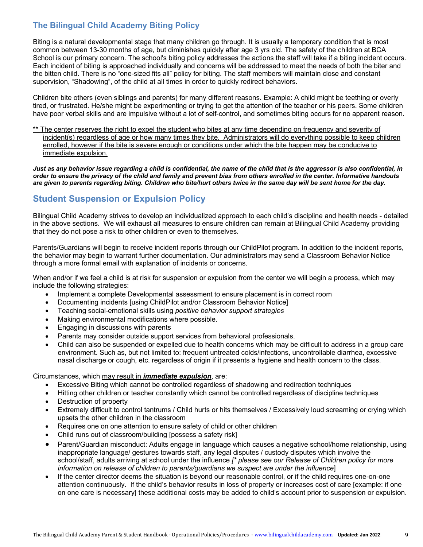# **The Bilingual Child Academy Biting Policy**

Biting is a natural developmental stage that many children go through. It is usually a temporary condition that is most common between 13-30 months of age, but diminishes quickly after age 3 yrs old. The safety of the children at BCA School is our primary concern. The school's biting policy addresses the actions the staff will take if a biting incident occurs. Each incident of biting is approached individually and concerns will be addressed to meet the needs of both the biter and the bitten child. There is no "one-sized fits all" policy for biting. The staff members will maintain close and constant supervision, "Shadowing", of the child at all times in order to quickly redirect behaviors.

Children bite others (even siblings and parents) for many different reasons. Example: A child might be teething or overly tired, or frustrated. He/she might be experimenting or trying to get the attention of the teacher or his peers. Some children have poor verbal skills and are impulsive without a lot of self-control, and sometimes biting occurs for no apparent reason.

\*\* The center reserves the right to expel the student who bites at any time depending on frequency and severity of incident(s) regardless of age or how many times they bite. Administrators will do everything possible to keep children enrolled, however if the bite is severe enough or conditions under which the bite happen may be conducive to immediate expulsion.

*Just as any behavior issue regarding a child is confidential, the name of the child that is the aggressor is also confidential, in order to ensure the privacy of the child and family and prevent bias from others enrolled in the center. Informative handouts are given to parents regarding biting. Children who bite/hurt others twice in the same day will be sent home for the day.*

# **Student Suspension or Expulsion Policy**

Bilingual Child Academy strives to develop an individualized approach to each child's discipline and health needs - detailed in the above sections. We will exhaust all measures to ensure children can remain at Bilingual Child Academy providing that they do not pose a risk to other children or even to themselves.

Parents/Guardians will begin to receive incident reports through our ChildPilot program. In addition to the incident reports, the behavior may begin to warrant further documentation. Our administrators may send a Classroom Behavior Notice through a more formal email with explanation of incidents or concerns.

When and/or if we feel a child is at risk for suspension or expulsion from the center we will begin a process, which may include the following strategies:

- Implement a complete Developmental assessment to ensure placement is in correct room
- Documenting incidents [using ChildPilot and/or Classroom Behavior Notice]
- Teaching social-emotional skills using *positive behavior support strategies*
- Making environmental modifications where possible.
- Engaging in discussions with parents
- Parents may consider outside support services from behavioral professionals.
- Child can also be suspended or expelled due to health concerns which may be difficult to address in a group care environment. Such as, but not limited to: frequent untreated colds/infections, uncontrollable diarrhea, excessive nasal discharge or cough, etc. regardless of origin if it presents a hygiene and health concern to the class.

Circumstances, which may result in *immediate expulsion*, are:

- Excessive Biting which cannot be controlled regardless of shadowing and redirection techniques
- Hitting other children or teacher constantly which cannot be controlled regardless of discipline techniques
- Destruction of property
- Extremely difficult to control tantrums / Child hurts or hits themselves / Excessively loud screaming or crying which upsets the other children in the classroom
- Requires one on one attention to ensure safety of child or other children
- Child runs out of classroom/building [possess a safety risk]
- Parent/Guardian misconduct: Adults engage in language which causes a negative school/home relationship, using inappropriate language/ gestures towards staff, any legal disputes / custody disputes which involve the school/staff, adults arriving at school under the influence *[\* please see our Release of Children policy for more information on release of children to parents/guardians we suspect are under the influence*]
- If the center director deems the situation is beyond our reasonable control, or if the child requires one-on-one attention continuously. If the child's behavior results in loss of property or increases cost of care [example: if one on one care is necessary] these additional costs may be added to child's account prior to suspension or expulsion.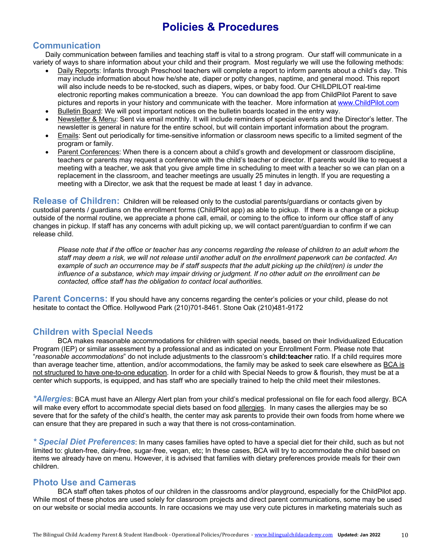# **Policies & Procedures**

# **Communication**

Daily communication between families and teaching staff is vital to a strong program. Our staff will communicate in a variety of ways to share information about your child and their program. Most regularly we will use the following methods:

- Daily Reports: Infants through Preschool teachers will complete a report to inform parents about a child's day. This may include information about how he/she ate, diaper or potty changes, naptime, and general mood. This report will also include needs to be re-stocked, such as diapers, wipes, or baby food. Our CHILDPILOT real-time electronic reporting makes communication a breeze. You can download the app from ChildPilot Parent to save pictures and reports in your history and communicate with the teacher. More information at www.ChildPilot.com
- Bulletin Board: We will post important notices on the bulletin boards located in the entry way.
- Newsletter & Menu: Sent via email monthly. It will include reminders of special events and the Director's letter. The newsletter is general in nature for the entire school, but will contain important information about the program.
- Emails: Sent out periodically for time-sensitive information or classroom news specific to a limited segment of the program or family.
- Parent Conferences: When there is a concern about a child's growth and development or classroom discipline, teachers or parents may request a conference with the child's teacher or director. If parents would like to request a meeting with a teacher, we ask that you give ample time in scheduling to meet with a teacher so we can plan on a replacement in the classroom, and teacher meetings are usually 25 minutes in length. If you are requesting a meeting with a Director, we ask that the request be made at least 1 day in advance.

**Release of Children:** Children will be released only to the custodial parents/guardians or contacts given by custodial parents / guardians on the enrollment forms (ChildPilot app) as able to pickup. If there is a change or a pickup outside of the normal routine, we appreciate a phone call, email, or coming to the office to inform our office staff of any changes in pickup. If staff has any concerns with adult picking up, we will contact parent/guardian to confirm if we can release child.

*Please note that if the office or teacher has any concerns regarding the release of children to an adult whom the staff may deem a risk, we will not release until another adult on the enrollment paperwork can be contacted. An example of such an occurrence may be if staff suspects that the adult picking up the child(ren) is under the influence of a substance, which may impair driving or judgment. If no other adult on the enrollment can be contacted, office staff has the obligation to contact local authorities.*

**Parent Concerns:** If you should have any concerns regarding the center's policies or your child, please do not hesitate to contact the Office. Hollywood Park (210)701-8461. Stone Oak (210)481-9172

# **Children with Special Needs**

BCA makes reasonable accommodations for children with special needs, based on their Individualized Education Program (IEP) or similar assessment by a professional and as indicated on your Enrollment Form. Please note that "*reasonable accommodations*" do not include adjustments to the classroom's **child:teacher** ratio. If a child requires more than average teacher time, attention, and/or accommodations, the family may be asked to seek care elsewhere as BCA is not structured to have one-to-one education. In order for a child with Special Needs to grow & flourish, they must be at a center which supports, is equipped, and has staff who are specially trained to help the child meet their milestones.

*\*Allergies*: BCA must have an Allergy Alert plan from your child's medical professional on file for each food allergy. BCA will make every effort to accommodate special diets based on food allergies. In many cases the allergies may be so severe that for the safety of the child's health, the center may ask parents to provide their own foods from home where we can ensure that they are prepared in such a way that there is not cross-contamination.

*\* Special Diet Preferences*: In many cases families have opted to have a special diet for their child, such as but not limited to: gluten-free, dairy-free, sugar-free, vegan, etc; In these cases, BCA will try to accommodate the child based on items we already have on menu. However, it is advised that families with dietary preferences provide meals for their own children.

## **Photo Use and Cameras**

BCA staff often takes photos of our children in the classrooms and/or playground, especially for the ChildPilot app. While most of these photos are used solely for classroom projects and direct parent communications, some may be used on our website or social media accounts. In rare occasions we may use very cute pictures in marketing materials such as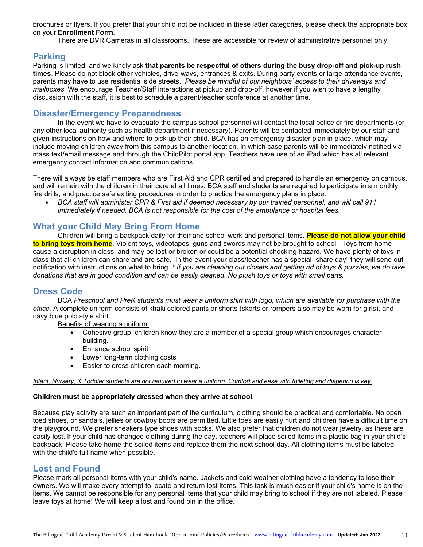brochures or flyers. If you prefer that your child not be included in these latter categories, please check the appropriate box on your **Enrollment Form**.

There are DVR Cameras in all classrooms. These are accessible for review of administrative personnel only.

## **Parking**

Parking is limited, and we kindly ask **that parents be respectful of others during the busy drop-off and pick-up rush times**. Please do not block other vehicles, drive-ways, entrances & exits. During party events or large attendance events, parents may have to use residential side streets. *Please be mindful of our neighbors' access to their driveways and mailboxes*. We encourage Teacher/Staff interactions at pickup and drop-off, however if you wish to have a lengthy discussion with the staff, it is best to schedule a parent/teacher conference at another time.

## **Disaster/Emergency Preparedness**

In the event we have to evacuate the campus school personnel will contact the local police or fire departments (or any other local authority such as health department if necessary). Parents will be contacted immediately by our staff and given instructions on how and where to pick up their child. BCA has an emergency disaster plan in place, which may include moving children away from this campus to another location. In which case parents will be immediately notified via mass text/email message and through the ChildPilot portal app. Teachers have use of an iPad which has all relevant emergency contact information and communications.

There will always be staff members who are First Aid and CPR certified and prepared to handle an emergency on campus, and will remain with the children in their care at all times. BCA staff and students are required to participate in a monthly fire drills, and practice safe exiting procedures in order to practice the emergency plans in place.

• *BCA staff will administer CPR & First aid if deemed necessary by our trained personnel, and will call 911 immediately if needed. BCA is not responsible for the cost of the ambulance or hospital fees.*

## **What your Child May Bring From Home**

Children will bring a backpack daily for their and school work and personal items. **Please do not allow your child to bring toys from home**. Violent toys, videotapes, guns and swords may not be brought to school. Toys from home cause a disruption in class, and may be lost or broken or could be a potential chocking hazard. We have plenty of toys in class that all children can share and are safe. In the event your class/teacher has a special "share day" they will send out notification with instructions on what to bring. *\* If you are cleaning out closets and getting rid of toys & puzzles, we do take donations that are in good condition and can be easily cleaned. No plush toys or toys with small parts.*

# **Dress Code**

BCA *Preschool and PreK students must wear a uniform shirt with logo, which are available for purchase with the office.* A complete uniform consists of khaki colored pants or shorts (skorts or rompers also may be worn for girls), and navy blue polo style shirt.

Benefits of wearing a uniform:

- Cohesive group, children know they are a member of a special group which encourages character building.
- Enhance school spirit
- Lower long-term clothing costs
- Easier to dress children each morning.

#### *Infant, Nursery, & Toddler students are not required to wear a uniform. Comfort and ease with toileting and diapering is key.*

#### **Children must be appropriately dressed when they arrive at school**.

Because play activity are such an important part of the curriculum, clothing should be practical and comfortable. No open toed shoes, or sandals, jellies or cowboy boots are permitted. Little toes are easily hurt and children have a difficult time on the playground. We prefer sneakers type shoes with socks. We also prefer that children do not wear jewelry, as these are easily lost. If your child has changed clothing during the day, teachers will place soiled items in a plastic bag in your child's backpack. Please take home the soiled items and replace them the next school day. All clothing items must be labeled with the child's full name when possible.

### **Lost and Found**

Please mark all personal items with your child's name. Jackets and cold weather clothing have a tendency to lose their owners. We will make every attempt to locate and return lost items. This task is much easier if your child's name is on the items. We cannot be responsible for any personal items that your child may bring to school if they are not labeled. Please leave toys at home! We will keep a lost and found bin in the office.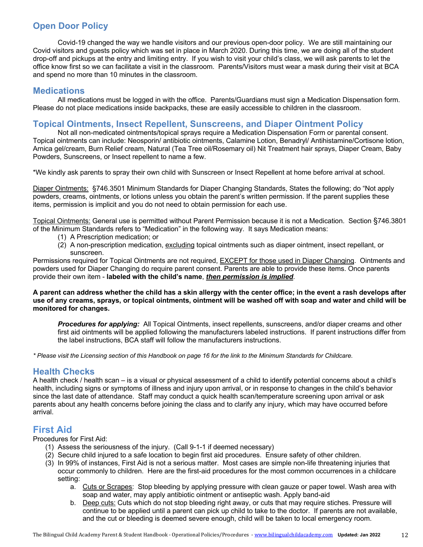# **Open Door Policy**

Covid-19 changed the way we handle visitors and our previous open-door policy. We are still maintaining our Covid visitors and guests policy which was set in place in March 2020. During this time, we are doing all of the student drop-off and pickups at the entry and limiting entry. If you wish to visit your child's class, we will ask parents to let the office know first so we can facilitate a visit in the classroom. Parents/Visitors must wear a mask during their visit at BCA and spend no more than 10 minutes in the classroom.

### **Medications**

All medications must be logged in with the office. Parents/Guardians must sign a Medication Dispensation form. Please do not place medications inside backpacks, these are easily accessible to children in the classroom.

## **Topical Ointments, Insect Repellent, Sunscreens, and Diaper Ointment Policy**

Not all non-medicated ointments/topical sprays require a Medication Dispensation Form or parental consent. Topical ointments can include: Neosporin/ antibiotic ointments, Calamine Lotion, Benadryl/ Antihistamine/Cortisone lotion, Arnica gel/cream, Burn Relief cream, Natural (Tea Tree oil/Rosemary oil) Nit Treatment hair sprays, Diaper Cream, Baby Powders, Sunscreens, or Insect repellent to name a few.

\*We kindly ask parents to spray their own child with Sunscreen or Insect Repellent at home before arrival at school.

Diaper Ointments: §746.3501 Minimum Standards for Diaper Changing Standards, States the following; do "Not apply powders, creams, ointments, or lotions unless you obtain the parent's written permission. If the parent supplies these items, permission is implicit and you do not need to obtain permission for each use.

Topical Ointments: General use is permitted without Parent Permission because it is not a Medication. Section §746.3801 of the Minimum Standards refers to "Medication" in the following way. It says Medication means:

- (1) A Prescription medication; or
- (2) A non-prescription medication, excluding topical ointments such as diaper ointment, insect repellant, or sunscreen.

Permissions required for Topical Ointments are not required, EXCEPT for those used in Diaper Changing. Ointments and powders used for Diaper Changing do require parent consent. Parents are able to provide these items. Once parents provide their own item - **labeled with the child's name**, *then permission is implied*.

**A parent can address whether the child has a skin allergy with the center office; in the event a rash develops after use of any creams, sprays, or topical ointments, ointment will be washed off with soap and water and child will be monitored for changes.**

*Procedures for applying:* All Topical Ointments, insect repellents, sunscreens, and/or diaper creams and other first aid ointments will be applied following the manufacturers labeled instructions. If parent instructions differ from the label instructions, BCA staff will follow the manufacturers instructions.

*\* Please visit the Licensing section of this Handbook on page 16 for the link to the Minimum Standards for Childcare.*

## **Health Checks**

A health check / health scan – is a visual or physical assessment of a child to identify potential concerns about a child's health, including signs or symptoms of illness and injury upon arrival, or in response to changes in the child's behavior since the last date of attendance. Staff may conduct a quick health scan/temperature screening upon arrival or ask parents about any health concerns before joining the class and to clarify any injury, which may have occurred before arrival.

# **First Aid**

Procedures for First Aid:

- (1) Assess the seriousness of the injury. (Call 9-1-1 if deemed necessary)
- (2) Secure child injured to a safe location to begin first aid procedures. Ensure safety of other children.
- (3) In 99% of instances, First Aid is not a serious matter. Most cases are simple non-life threatening injuries that occur commonly to children. Here are the first-aid procedures for the most common occurrences in a childcare setting:
	- a. Cuts or Scrapes: Stop bleeding by applying pressure with clean gauze or paper towel. Wash area with soap and water, may apply antibiotic ointment or antiseptic wash. Apply band-aid
	- b. Deep cuts: Cuts which do not stop bleeding right away, or cuts that may require stiches. Pressure will continue to be applied until a parent can pick up child to take to the doctor. If parents are not available, and the cut or bleeding is deemed severe enough, child will be taken to local emergency room.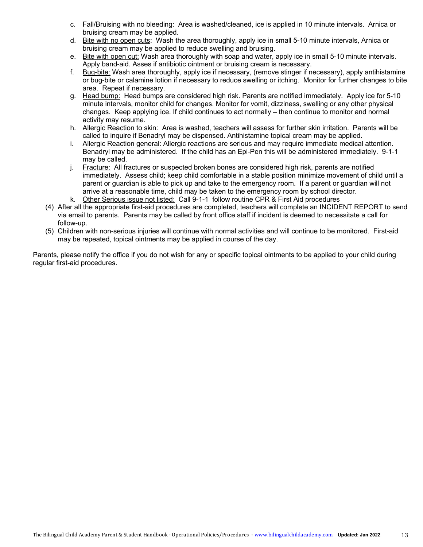- c. Fall/Bruising with no bleeding: Area is washed/cleaned, ice is applied in 10 minute intervals. Arnica or bruising cream may be applied.
- d. Bite with no open cuts: Wash the area thoroughly, apply ice in small 5-10 minute intervals, Arnica or bruising cream may be applied to reduce swelling and bruising.
- e. Bite with open cut: Wash area thoroughly with soap and water, apply ice in small 5-10 minute intervals. Apply band-aid. Asses if antibiotic ointment or bruising cream is necessary.
- f. Bug-bite: Wash area thoroughly, apply ice if necessary, (remove stinger if necessary), apply antihistamine or bug-bite or calamine lotion if necessary to reduce swelling or itching. Monitor for further changes to bite area. Repeat if necessary.
- g. Head bump: Head bumps are considered high risk. Parents are notified immediately. Apply ice for 5-10 minute intervals, monitor child for changes. Monitor for vomit, dizziness, swelling or any other physical changes. Keep applying ice. If child continues to act normally – then continue to monitor and normal activity may resume.
- h. Allergic Reaction to skin: Area is washed, teachers will assess for further skin irritation. Parents will be called to inquire if Benadryl may be dispensed. Antihistamine topical cream may be applied.
- i. Allergic Reaction general: Allergic reactions are serious and may require immediate medical attention. Benadryl may be administered. If the child has an Epi-Pen this will be administered immediately. 9-1-1 may be called.
- j. Fracture: All fractures or suspected broken bones are considered high risk, parents are notified immediately. Assess child; keep child comfortable in a stable position minimize movement of child until a parent or guardian is able to pick up and take to the emergency room. If a parent or guardian will not arrive at a reasonable time, child may be taken to the emergency room by school director.
- k. Other Serious issue not listed: Call 9-1-1 follow routine CPR & First Aid procedures
- (4) After all the appropriate first-aid procedures are completed, teachers will complete an INCIDENT REPORT to send via email to parents. Parents may be called by front office staff if incident is deemed to necessitate a call for follow-up.
- (5) Children with non-serious injuries will continue with normal activities and will continue to be monitored. First-aid may be repeated, topical ointments may be applied in course of the day.

Parents, please notify the office if you do not wish for any or specific topical ointments to be applied to your child during regular first-aid procedures.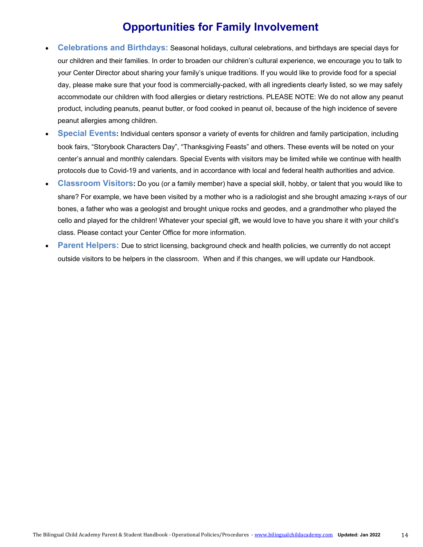# **Opportunities for Family Involvement**

- **Celebrations and Birthdays:** Seasonal holidays, cultural celebrations, and birthdays are special days for our children and their families. In order to broaden our children's cultural experience, we encourage you to talk to your Center Director about sharing your family's unique traditions. If you would like to provide food for a special day, please make sure that your food is commercially-packed, with all ingredients clearly listed, so we may safely accommodate our children with food allergies or dietary restrictions. PLEASE NOTE: We do not allow any peanut product, including peanuts, peanut butter, or food cooked in peanut oil, because of the high incidence of severe peanut allergies among children.
- **Special Events:** Individual centers sponsor a variety of events for children and family participation, including book fairs, "Storybook Characters Day", "Thanksgiving Feasts" and others. These events will be noted on your center's annual and monthly calendars. Special Events with visitors may be limited while we continue with health protocols due to Covid-19 and varients, and in accordance with local and federal health authorities and advice.
- **Classroom Visitors:** Do you (or a family member) have a special skill, hobby, or talent that you would like to share? For example, we have been visited by a mother who is a radiologist and she brought amazing x-rays of our bones, a father who was a geologist and brought unique rocks and geodes, and a grandmother who played the cello and played for the children! Whatever your special gift, we would love to have you share it with your child's class. Please contact your Center Office for more information.
- **Parent Helpers:** Due to strict licensing, background check and health policies, we currently do not accept outside visitors to be helpers in the classroom. When and if this changes, we will update our Handbook.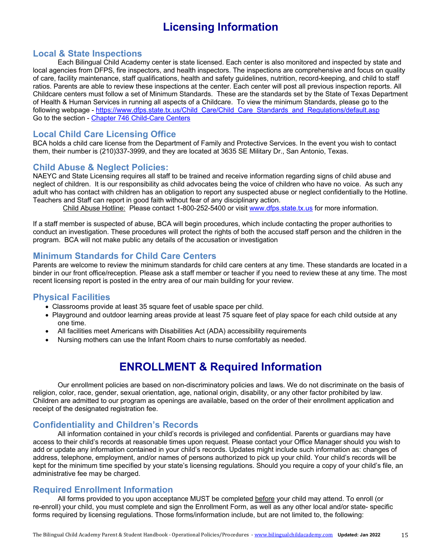# **Licensing Information**

## **Local & State Inspections**

Each Bilingual Child Academy center is state licensed. Each center is also monitored and inspected by state and local agencies from DFPS, fire inspectors, and health inspectors. The inspections are comprehensive and focus on quality of care, facility maintenance, staff qualifications, health and safety guidelines, nutrition, record-keeping, and child to staff ratios. Parents are able to review these inspections at the center. Each center will post all previous inspection reports. All Childcare centers must follow a set of Minimum Standards. These are the standards set by the State of Texas Department of Health & Human Services in running all aspects of a Childcare. To view the minimum Standards, please go to the following webpage - https://www.dfps.state.tx.us/Child\_Care/Child\_Care\_Standards\_and\_Regulations/default.asp Go to the section - Chapter 746 Child-Care Centers

# **Local Child Care Licensing Office**

BCA holds a child care license from the Department of Family and Protective Services. In the event you wish to contact them, their number is (210)337-3999, and they are located at 3635 SE Military Dr., San Antonio, Texas.

## **Child Abuse & Neglect Policies:**

NAEYC and State Licensing requires all staff to be trained and receive information regarding signs of child abuse and neglect of children. It is our responsibility as child advocates being the voice of children who have no voice. As such any adult who has contact with children has an obligation to report any suspected abuse or neglect confidentially to the Hotline. Teachers and Staff can report in good faith without fear of any disciplinary action.

Child Abuse Hotline: Please contact 1-800-252-5400 or visit www.dfps.state.tx.us for more information.

If a staff member is suspected of abuse, BCA will begin procedures, which include contacting the proper authorities to conduct an investigation. These procedures will protect the rights of both the accused staff person and the children in the program. BCA will not make public any details of the accusation or investigation

# **Minimum Standards for Child Care Centers**

Parents are welcome to review the minimum standards for child care centers at any time. These standards are located in a binder in our front office/reception. Please ask a staff member or teacher if you need to review these at any time. The most recent licensing report is posted in the entry area of our main building for your review.

### **Physical Facilities**

- Classrooms provide at least 35 square feet of usable space per child.
- Playground and outdoor learning areas provide at least 75 square feet of play space for each child outside at any one time.
- All facilities meet Americans with Disabilities Act (ADA) accessibility requirements
- Nursing mothers can use the Infant Room chairs to nurse comfortably as needed.

# **ENROLLMENT & Required Information**

Our enrollment policies are based on non-discriminatory policies and laws. We do not discriminate on the basis of religion, color, race, gender, sexual orientation, age, national origin, disability, or any other factor prohibited by law. Children are admitted to our program as openings are available, based on the order of their enrollment application and receipt of the designated registration fee.

## **Confidentiality and Children's Records**

All information contained in your child's records is privileged and confidential. Parents or guardians may have access to their child's records at reasonable times upon request. Please contact your Office Manager should you wish to add or update any information contained in your child's records. Updates might include such information as: changes of address, telephone, employment, and/or names of persons authorized to pick up your child. Your child's records will be kept for the minimum time specified by your state's licensing regulations. Should you require a copy of your child's file, an administrative fee may be charged.

## **Required Enrollment Information**

All forms provided to you upon acceptance MUST be completed before your child may attend. To enroll (or re-enroll) your child, you must complete and sign the Enrollment Form, as well as any other local and/or state- specific forms required by licensing regulations. Those forms/information include, but are not limited to, the following: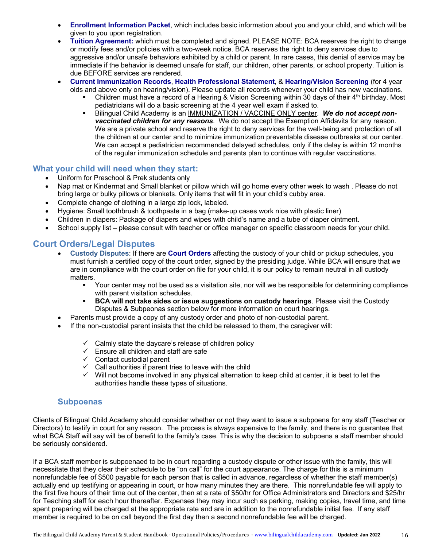- **Enrollment Information Packet**, which includes basic information about you and your child, and which will be given to you upon registration.
- **Tuition Agreement:** which must be completed and signed. PLEASE NOTE: BCA reserves the right to change or modify fees and/or policies with a two-week notice. BCA reserves the right to deny services due to aggressive and/or unsafe behaviors exhibited by a child or parent. In rare cases, this denial of service may be immediate if the behavior is deemed unsafe for staff, our children, other parents, or school property. Tuition is due BEFORE services are rendered.
- **Current Immunization Records**, **Health Professional Statement**, & **Hearing/Vision Screening** (for 4 year olds and above only on hearing/vision). Please update all records whenever your child has new vaccinations.
	- Children must have a record of a Hearing & Vision Screening within 30 days of their 4<sup>th</sup> birthday. Most pediatricians will do a basic screening at the 4 year well exam if asked to.
	- <sup>■</sup> Bilingual Child Academy is an IMMUNIZATION / VACCINE ONLY center. We do not accept non*vaccinated children for any reasons*. We do not accept the Exemption Affidavits for any reason. We are a private school and reserve the right to deny services for the well-being and protection of all the children at our center and to minimize immunization preventable disease outbreaks at our center. We can accept a pediatrician recommended delayed schedules, only if the delay is within 12 months of the regular immunization schedule and parents plan to continue with regular vaccinations.

#### **What your child will need when they start:**

- Uniform for Preschool & Prek students only
- Nap mat or Kindermat and Small blanket or pillow which will go home every other week to wash . Please do not bring large or bulky pillows or blankets. Only items that will fit in your child's cubby area.
- Complete change of clothing in a large zip lock, labeled.
- Hygiene: Small toothbrush & toothpaste in a bag (make-up cases work nice with plastic liner)
- Children in diapers: Package of diapers and wipes with child's name and a tube of diaper ointment.
- School supply list please consult with teacher or office manager on specific classroom needs for your child.

# **Court Orders/Legal Disputes**

- **Custody Disputes**: If there are **Court Orders** affecting the custody of your child or pickup schedules, you must furnish a certified copy of the court order, signed by the presiding judge. While BCA will ensure that we are in compliance with the court order on file for your child, it is our policy to remain neutral in all custody matters.
	- § Your center may not be used as a visitation site, nor will we be responsible for determining compliance with parent visitation schedules.
	- § **BCA will not take sides or issue suggestions on custody hearings**. Please visit the Custody Disputes & Subpeonas section below for more information on court hearings.
- Parents must provide a copy of any custody order and photo of non-custodial parent.
- If the non-custodial parent insists that the child be released to them, the caregiver will:
	- $\checkmark$  Calmly state the daycare's release of children policy
	- $\checkmark$  Ensure all children and staff are safe
	- $\checkmark$  Contact custodial parent
	- $\checkmark$  Call authorities if parent tries to leave with the child  $\checkmark$  Will not become involved in any physical alternation
	- Will not become involved in any physical alternation to keep child at center, it is best to let the authorities handle these types of situations.

### **Subpoenas**

Clients of Bilingual Child Academy should consider whether or not they want to issue a subpoena for any staff (Teacher or Directors) to testify in court for any reason. The process is always expensive to the family, and there is no guarantee that what BCA Staff will say will be of benefit to the family's case. This is why the decision to subpoena a staff member should be seriously considered.

If a BCA staff member is subpoenaed to be in court regarding a custody dispute or other issue with the family, this will necessitate that they clear their schedule to be "on call" for the court appearance. The charge for this is a minimum nonrefundable fee of \$500 payable for each person that is called in advance, regardless of whether the staff member(s) actually end up testifying or appearing in court, or how many minutes they are there. This nonrefundable fee will apply to the first five hours of their time out of the center, then at a rate of \$50/hr for Office Administrators and Directors and \$25/hr for Teaching staff for each hour thereafter. Expenses they may incur such as parking, making copies, travel time, and time spent preparing will be charged at the appropriate rate and are in addition to the nonrefundable initial fee. If any staff member is required to be on call beyond the first day then a second nonrefundable fee will be charged.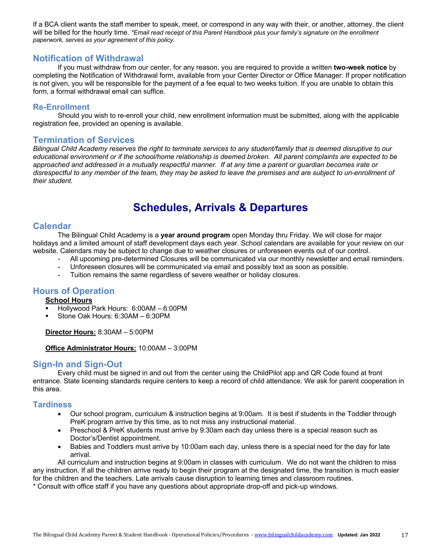If a BCA client wants the staff member to speak, meet, or correspond in any way with their, or another, attorney, the client will be billed for the hourly time. *\*Email read receipt of this Parent Handbook plus your family's signature on the enrollment paperwork, serves as your agreement of this policy.*

## **Notification of Withdrawal**

If you must withdraw from our center, for any reason, you are required to provide a written **two-week notice** by completing the Notification of Withdrawal form, available from your Center Director or Office Manager. If proper notification is not given, you will be responsible for the payment of a fee equal to two weeks tuition. If you are unable to obtain this form, a formal withdrawal email can suffice.

#### **Re-Enrollment**

Should you wish to re-enroll your child, new enrollment information must be submitted, along with the applicable registration fee, provided an opening is available.

### **Termination of Services**

*Bilingual Child Academy reserves the right to terminate services to any student/family that is deemed disruptive to our educational environment or if the school/home relationship is deemed broken. All parent complaints are expected to be approached and addressed in a mutually respectful manner. If at any time a parent or guardian becomes irate or disrespectful to any member of the team, they may be asked to leave the premises and are subject to un-enrollment of their student.*

# **Schedules, Arrivals & Departures**

### **Calendar**

The Bilingual Child Academy is a **year around program** open Monday thru Friday. We will close for major holidays and a limited amount of staff development days each year. School calendars are available for your review on our website. Calendars may be subject to change due to weather closures or unforeseen events out of our control.

- All upcoming pre-determined Closures will be communicated via our monthly newsletter and email reminders.
- Unforeseen closures will be communicated via email and possibly text as soon as possible.
- Tuition remains the same regardless of severe weather or holiday closures.

## **Hours of Operation**

#### **School Hours**

- § Hollywood Park Hours: 6:00AM 6:00PM
- § Stone Oak Hours: 6:30AM 6:30PM

**Director Hours:** 8:30AM – 5:00PM

#### **Office Administrator Hours:** 10:00AM – 3:00PM

## **Sign-In and Sign-Out**

Every child must be signed in and out from the center using the ChildPilot app and QR Code found at front entrance. State licensing standards require centers to keep a record of child attendance. We ask for parent cooperation in this area.

#### **Tardiness**

- Our school program, curriculum & instruction begins at 9:00am. It is best if students in the Toddler through PreK program arrive by this time, as to not miss any instructional material.
- Preschool & PreK students must arrive by 9:30am each day unless there is a special reason such as Doctor's/Dentist appointment.
- Babies and Toddlers must arrive by 10:00am each day, unless there is a special need for the day for late arrival.

All curriculum and instruction begins at 9:00am in classes with curriculum. We do not want the children to miss any instruction. If all the children arrive ready to begin their program at the designated time, the transition is much easier for the children and the teachers. Late arrivals cause disruption to learning times and classroom routines.

\* Consult with office staff if you have any questions about appropriate drop-off and pick-up windows.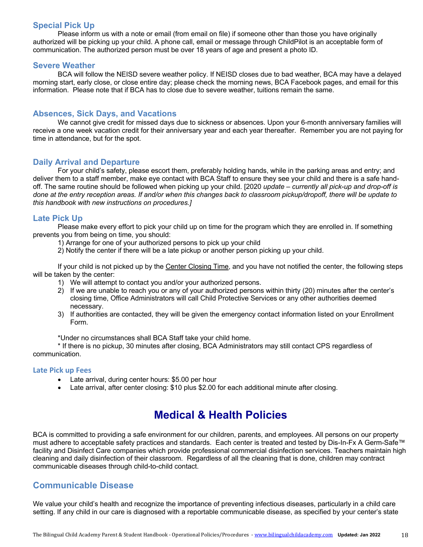## **Special Pick Up**

Please inform us with a note or email (from email on file) if someone other than those you have originally authorized will be picking up your child. A phone call, email or message through ChildPilot is an acceptable form of communication. The authorized person must be over 18 years of age and present a photo ID.

#### **Severe Weather**

BCA will follow the NEISD severe weather policy. If NEISD closes due to bad weather, BCA may have a delayed morning start, early close, or close entire day; please check the morning news, BCA Facebook pages, and email for this information. Please note that if BCA has to close due to severe weather, tuitions remain the same.

#### **Absences, Sick Days, and Vacations**

We cannot give credit for missed days due to sickness or absences. Upon your 6-month anniversary families will receive a one week vacation credit for their anniversary year and each year thereafter. Remember you are not paying for time in attendance, but for the spot.

#### **Daily Arrival and Departure**

For your child's safety, please escort them, preferably holding hands, while in the parking areas and entry; and deliver them to a staff member, make eye contact with BCA Staff to ensure they see your child and there is a safe handoff. The same routine should be followed when picking up your child. [2020 *update – currently all pick-up and drop-off is done at the entry reception areas. If and/or when this changes back to classroom pickup/dropoff, there will be update to this handbook with new instructions on procedures.]*

### **Late Pick Up**

Please make every effort to pick your child up on time for the program which they are enrolled in. If something prevents you from being on time, you should:

- 1) Arrange for one of your authorized persons to pick up your child
- 2) Notify the center if there will be a late pickup or another person picking up your child.

If your child is not picked up by the Center Closing Time, and you have not notified the center, the following steps will be taken by the center:

- 1) We will attempt to contact you and/or your authorized persons.
- 2) If we are unable to reach you or any of your authorized persons within thirty (20) minutes after the center's closing time, Office Administrators will call Child Protective Services or any other authorities deemed necessary.
- 3) If authorities are contacted, they will be given the emergency contact information listed on your Enrollment Form.

\*Under no circumstances shall BCA Staff take your child home.

\* If there is no pickup, 30 minutes after closing, BCA Administrators may still contact CPS regardless of communication.

#### **Late Pick up Fees**

- Late arrival, during center hours: \$5.00 per hour
- Late arrival, after center closing: \$10 plus \$2.00 for each additional minute after closing.

# **Medical & Health Policies**

BCA is committed to providing a safe environment for our children, parents, and employees. All persons on our property must adhere to acceptable safety practices and standards. Each center is treated and tested by Dis-In-Fx A Germ-Safe™ facility and Disinfect Care companies which provide professional commercial disinfection services. Teachers maintain high cleaning and daily disinfection of their classroom. Regardless of all the cleaning that is done, children may contract communicable diseases through child-to-child contact.

## **Communicable Disease**

We value your child's health and recognize the importance of preventing infectious diseases, particularly in a child care setting. If any child in our care is diagnosed with a reportable communicable disease, as specified by your center's state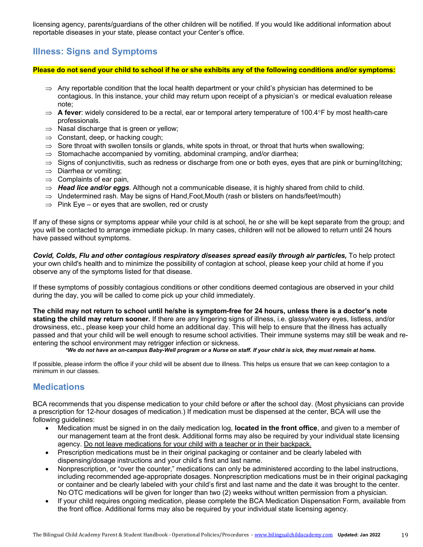licensing agency, parents/guardians of the other children will be notified. If you would like additional information about reportable diseases in your state, please contact your Center's office.

# **Illness: Signs and Symptoms**

**Please do not send your child to school if he or she exhibits any of the following conditions and/or symptoms:**

- $\Rightarrow$  Any reportable condition that the local health department or your child's physician has determined to be contagious. In this instance, your child may return upon receipt of a physician's or medical evaluation release note;
- $\Rightarrow$  **A fever**: widely considered to be a rectal, ear or temporal artery temperature of 100.4°F by most health-care professionals.
- $\Rightarrow$  Nasal discharge that is green or yellow;
- $\Rightarrow$  Constant, deep, or hacking cough;
- $\Rightarrow$  Sore throat with swollen tonsils or glands, white spots in throat, or throat that hurts when swallowing;
- $\Rightarrow$  Stomachache accompanied by vomiting, abdominal cramping, and/or diarrhea;
- $\Rightarrow$  Signs of conjunctivitis, such as redness or discharge from one or both eyes, eyes that are pink or burning/itching;
- $\Rightarrow$  Diarrhea or vomiting;
- $\Rightarrow$  Complaints of ear pain,
- $\Rightarrow$  **Head lice and/or eggs**. Although not a communicable disease, it is highly shared from child to child.
- $\Rightarrow$  Undetermined rash. May be signs of Hand, Foot, Mouth (rash or blisters on hands/feet/mouth)
- $\Rightarrow$  Pink Eye or eyes that are swollen, red or crusty

If any of these signs or symptoms appear while your child is at school, he or she will be kept separate from the group; and you will be contacted to arrange immediate pickup. In many cases, children will not be allowed to return until 24 hours have passed without symptoms.

*Covid, Colds, Flu and other contagious respiratory diseases spread easily through air particles,* To help protect your own child's health and to minimize the possibility of contagion at school, please keep your child at home if you observe any of the symptoms listed for that disease.

If these symptoms of possibly contagious conditions or other conditions deemed contagious are observed in your child during the day, you will be called to come pick up your child immediately.

**The child may not return to school until he/she is symptom-free for 24 hours, unless there is a doctor's note stating the child may return sooner.** If there are any lingering signs of illness, i.e. glassy/watery eyes, listless, and/or drowsiness, etc., please keep your child home an additional day. This will help to ensure that the illness has actually passed and that your child will be well enough to resume school activities. Their immune systems may still be weak and reentering the school environment may retrigger infection or sickness.

*\*We do not have an on-campus Baby-Well program or a Nurse on staff. If your child is sick, they must remain at home.*

If possible, please inform the office if your child will be absent due to illness. This helps us ensure that we can keep contagion to a minimum in our classes.

# **Medications**

BCA recommends that you dispense medication to your child before or after the school day. (Most physicians can provide a prescription for 12-hour dosages of medication.) If medication must be dispensed at the center, BCA will use the following guidelines:

- Medication must be signed in on the daily medication log, **located in the front office**, and given to a member of our management team at the front desk. Additional forms may also be required by your individual state licensing agency. Do not leave medications for your child with a teacher or in their backpack.
- Prescription medications must be in their original packaging or container and be clearly labeled with dispensing/dosage instructions and your child's first and last name.
- Nonprescription, or "over the counter," medications can only be administered according to the label instructions, including recommended age-appropriate dosages. Nonprescription medications must be in their original packaging or container and be clearly labeled with your child's first and last name and the date it was brought to the center. No OTC medications will be given for longer than two (2) weeks without written permission from a physician.
- If your child requires ongoing medication, please complete the BCA Medication Dispensation Form, available from the front office. Additional forms may also be required by your individual state licensing agency.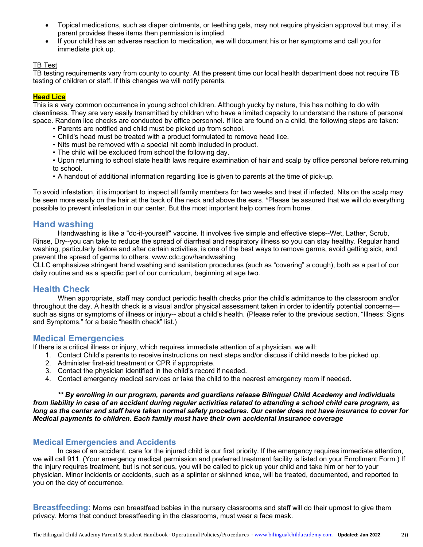- Topical medications, such as diaper ointments, or teething gels, may not require physician approval but may, if a parent provides these items then permission is implied.
- If your child has an adverse reaction to medication, we will document his or her symptoms and call you for immediate pick up.

#### TB Test

TB testing requirements vary from county to county. At the present time our local health department does not require TB testing of children or staff. If this changes we will notify parents.

#### **Head Lice**

This is a very common occurrence in young school children. Although yucky by nature, this has nothing to do with cleanliness. They are very easily transmitted by children who have a limited capacity to understand the nature of personal space. Random lice checks are conducted by office personnel. If lice are found on a child, the following steps are taken:

- Parents are notified and child must be picked up from school.
- Child's head must be treated with a product formulated to remove head lice.
- Nits must be removed with a special nit comb included in product.
- The child will be excluded from school the following day.
- Upon returning to school state health laws require examination of hair and scalp by office personal before returning to school.
- A handout of additional information regarding lice is given to parents at the time of pick-up.

To avoid infestation, it is important to inspect all family members for two weeks and treat if infected. Nits on the scalp may be seen more easily on the hair at the back of the neck and above the ears. \*Please be assured that we will do everything possible to prevent infestation in our center. But the most important help comes from home.

#### **Hand washing**

Handwashing is like a "do-it-yourself" vaccine. It involves five simple and effective steps--Wet, Lather, Scrub, Rinse, Dry--you can take to reduce the spread of diarrheal and respiratory illness so you can stay healthy. Regular hand washing, particularly before and after certain activities, is one of the best ways to remove germs, avoid getting sick, and prevent the spread of germs to others. www.cdc.gov/handwashing

CLLC emphasizes stringent hand washing and sanitation procedures (such as "covering" a cough), both as a part of our daily routine and as a specific part of our curriculum, beginning at age two.

### **Health Check**

When appropriate, staff may conduct periodic health checks prior the child's admittance to the classroom and/or throughout the day. A health check is a visual and/or physical assessment taken in order to identify potential concerns such as signs or symptoms of illness or injury-- about a child's health. (Please refer to the previous section, "Illness: Signs and Symptoms," for a basic "health check" list.)

### **Medical Emergencies**

If there is a critical illness or injury, which requires immediate attention of a physician, we will:

- 1. Contact Child's parents to receive instructions on next steps and/or discuss if child needs to be picked up.
- 2. Administer first-aid treatment or CPR if appropriate.
- 3. Contact the physician identified in the child's record if needed.
- 4. Contact emergency medical services or take the child to the nearest emergency room if needed.

*\*\* By enrolling in our program, parents and guardians release Bilingual Child Academy and individuals from liability in case of an accident during regular activities related to attending a school child care program, as long as the center and staff have taken normal safety procedures. Our center does not have insurance to cover for Medical payments to children. Each family must have their own accidental insurance coverage*

#### **Medical Emergencies and Accidents**

In case of an accident, care for the injured child is our first priority. If the emergency requires immediate attention, we will call 911. (Your emergency medical permission and preferred treatment facility is listed on your Enrollment Form.) If the injury requires treatment, but is not serious, you will be called to pick up your child and take him or her to your physician. Minor incidents or accidents, such as a splinter or skinned knee, will be treated, documented, and reported to you on the day of occurrence.

**Breastfeeding:** Moms can breastfeed babies in the nursery classrooms and staff will do their upmost to give them privacy. Moms that conduct breastfeeding in the classrooms, must wear a face mask.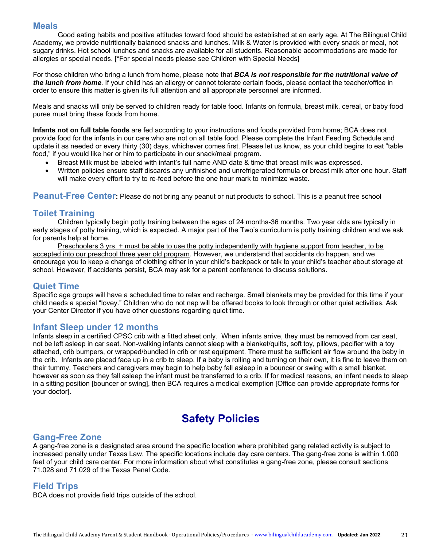## **Meals**

Good eating habits and positive attitudes toward food should be established at an early age. At The Bilingual Child Academy, we provide nutritionally balanced snacks and lunches. Milk & Water is provided with every snack or meal, not sugary drinks. Hot school lunches and snacks are available for all students. Reasonable accommodations are made for allergies or special needs. [\*For special needs please see Children with Special Needs]

For those children who bring a lunch from home, please note that *BCA is not responsible for the nutritional value of the lunch from home*. If your child has an allergy or cannot tolerate certain foods, please contact the teacher/office in order to ensure this matter is given its full attention and all appropriate personnel are informed.

Meals and snacks will only be served to children ready for table food. Infants on formula, breast milk, cereal, or baby food puree must bring these foods from home.

**Infants not on full table foods** are fed according to your instructions and foods provided from home; BCA does not provide food for the infants in our care who are not on all table food. Please complete the Infant Feeding Schedule and update it as needed or every thirty (30) days, whichever comes first. Please let us know, as your child begins to eat "table food," if you would like her or him to participate in our snack/meal program.

- Breast Milk must be labeled with infant's full name AND date & time that breast milk was expressed.
- Written policies ensure staff discards any unfinished and unrefrigerated formula or breast milk after one hour. Staff will make every effort to try to re-feed before the one hour mark to minimize waste.

**Peanut-Free Center:** Please do not bring any peanut or nut products to school. This is a peanut free school

## **Toilet Training**

Children typically begin potty training between the ages of 24 months-36 months. Two year olds are typically in early stages of potty training, which is expected. A major part of the Two's curriculum is potty training children and we ask for parents help at home.

Preschoolers 3 yrs. + must be able to use the potty independently with hygiene support from teacher, to be accepted into our preschool three year old program. However, we understand that accidents do happen, and we encourage you to keep a change of clothing either in your child's backpack or talk to your child's teacher about storage at school. However, if accidents persist, BCA may ask for a parent conference to discuss solutions.

### **Quiet Time**

Specific age groups will have a scheduled time to relax and recharge. Small blankets may be provided for this time if your child needs a special "lovey." Children who do not nap will be offered books to look through or other quiet activities. Ask your Center Director if you have other questions regarding quiet time.

### **Infant Sleep under 12 months**

Infants sleep in a certified CPSC crib with a fitted sheet only. When infants arrive, they must be removed from car seat, not be left asleep in car seat. Non-walking infants cannot sleep with a blanket/quilts, soft toy, pillows, pacifier with a toy attached, crib bumpers, or wrapped/bundled in crib or rest equipment. There must be sufficient air flow around the baby in the crib. Infants are placed face up in a crib to sleep. If a baby is rolling and turning on their own, it is fine to leave them on their tummy. Teachers and caregivers may begin to help baby fall asleep in a bouncer or swing with a small blanket, however as soon as they fall asleep the infant must be transferred to a crib. If for medical reasons, an infant needs to sleep in a sitting position [bouncer or swing], then BCA requires a medical exemption [Office can provide appropriate forms for your doctor].

# **Safety Policies**

## **Gang-Free Zone**

A gang-free zone is a designated area around the specific location where prohibited gang related activity is subject to increased penalty under Texas Law. The specific locations include day care centers. The gang-free zone is within 1,000 feet of your child care center. For more information about what constitutes a gang-free zone, please consult sections 71.028 and 71.029 of the Texas Penal Code.

## **Field Trips**

BCA does not provide field trips outside of the school.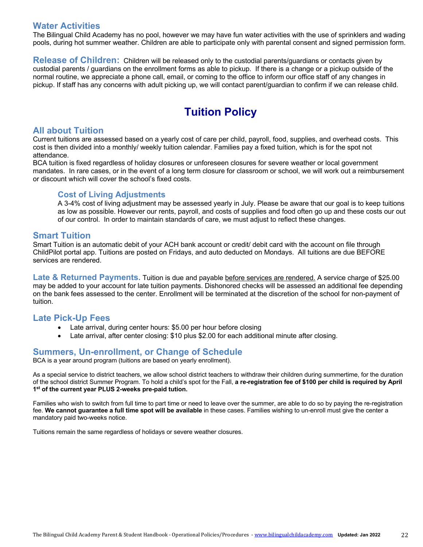## **Water Activities**

The Bilingual Child Academy has no pool, however we may have fun water activities with the use of sprinklers and wading pools, during hot summer weather. Children are able to participate only with parental consent and signed permission form.

**Release of Children:** Children will be released only to the custodial parents/guardians or contacts given by custodial parents / guardians on the enrollment forms as able to pickup. If there is a change or a pickup outside of the normal routine, we appreciate a phone call, email, or coming to the office to inform our office staff of any changes in pickup. If staff has any concerns with adult picking up, we will contact parent/guardian to confirm if we can release child.

# **Tuition Policy**

## **All about Tuition**

Current tuitions are assessed based on a yearly cost of care per child, payroll, food, supplies, and overhead costs. This cost is then divided into a monthly/ weekly tuition calendar. Families pay a fixed tuition, which is for the spot not attendance.

BCA tuition is fixed regardless of holiday closures or unforeseen closures for severe weather or local government mandates. In rare cases, or in the event of a long term closure for classroom or school, we will work out a reimbursement or discount which will cover the school's fixed costs.

### **Cost of Living Adjustments**

A 3-4% cost of living adjustment may be assessed yearly in July. Please be aware that our goal is to keep tuitions as low as possible. However our rents, payroll, and costs of supplies and food often go up and these costs our out of our control. In order to maintain standards of care, we must adjust to reflect these changes.

### **Smart Tuition**

Smart Tuition is an automatic debit of your ACH bank account or credit/ debit card with the account on file through ChildPilot portal app. Tuitions are posted on Fridays, and auto deducted on Mondays. All tuitions are due BEFORE services are rendered.

**Late & Returned Payments.** Tuition is due and payable before services are rendered. A service charge of \$25.00 may be added to your account for late tuition payments. Dishonored checks will be assessed an additional fee depending on the bank fees assessed to the center. Enrollment will be terminated at the discretion of the school for non-payment of tuition.

### **Late Pick-Up Fees**

- Late arrival, during center hours: \$5.00 per hour before closing
- Late arrival, after center closing: \$10 plus \$2.00 for each additional minute after closing.

# **Summers, Un-enrollment, or Change of Schedule**

BCA is a year around program (tuitions are based on yearly enrollment).

As a special service to district teachers, we allow school district teachers to withdraw their children during summertime, for the duration of the school district Summer Program. To hold a child's spot for the Fall, **a re-registration fee of \$100 per child is required by April 1st of the current year PLUS 2-weeks pre-paid tution.** 

Families who wish to switch from full time to part time or need to leave over the summer, are able to do so by paying the re-registration fee. **We cannot guarantee a full time spot will be available** in these cases. Families wishing to un-enroll must give the center a mandatory paid two-weeks notice.

Tuitions remain the same regardless of holidays or severe weather closures.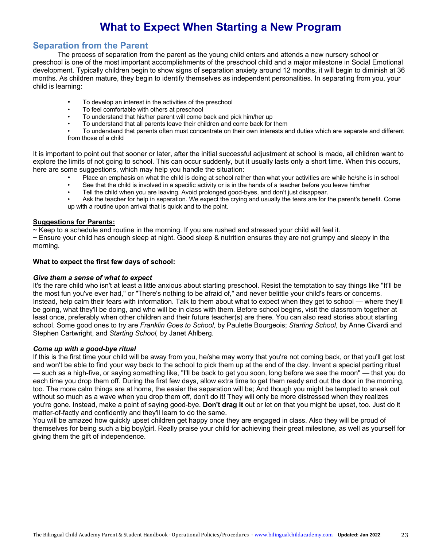# **What to Expect When Starting a New Program**

# **Separation from the Parent**

The process of separation from the parent as the young child enters and attends a new nursery school or preschool is one of the most important accomplishments of the preschool child and a major milestone in Social Emotional development. Typically children begin to show signs of separation anxiety around 12 months, it will begin to diminish at 36 months. As children mature, they begin to identify themselves as independent personalities. In separating from you, your child is learning:

- To develop an interest in the activities of the preschool
- To feel comfortable with others at preschool
- To understand that his/her parent will come back and pick him/her up
- To understand that all parents leave their children and come back for them
- To understand that parents often must concentrate on their own interests and duties which are separate and different from those of a child

It is important to point out that sooner or later, after the initial successful adjustment at school is made, all children want to explore the limits of not going to school. This can occur suddenly, but it usually lasts only a short time. When this occurs, here are some suggestions, which may help you handle the situation:

- Place an emphasis on what the child is doing at school rather than what your activities are while he/she is in school
- See that the child is involved in a specific activity or is in the hands of a teacher before you leave him/her
- Tell the child when you are leaving. Avoid prolonged good-byes, and don't just disappear.

• Ask the teacher for help in separation. We expect the crying and usually the tears are for the parent's benefit. Come up with a routine upon arrival that is quick and to the point.

#### **Suggestions for Parents:**

~ Keep to a schedule and routine in the morning. If you are rushed and stressed your child will feel it.

~ Ensure your child has enough sleep at night. Good sleep & nutrition ensures they are not grumpy and sleepy in the morning.

#### **What to expect the first few days of school:**

#### *Give them a sense of what to expect*

It's the rare child who isn't at least a little anxious about starting preschool. Resist the temptation to say things like "It'll be the most fun you've ever had," or "There's nothing to be afraid of," and never belittle your child's fears or concerns. Instead, help calm their fears with information. Talk to them about what to expect when they get to school — where they'll be going, what they'll be doing, and who will be in class with them. Before school begins, visit the classroom together at least once, preferably when other children and their future teacher(s) are there. You can also read stories about starting school. Some good ones to try are *Franklin Goes to School,* by Paulette Bourgeois; *Starting School,* by Anne Civardi and Stephen Cartwright, and *Starting School,* by Janet Ahlberg.

#### *Come up with a good-bye ritual*

If this is the first time your child will be away from you, he/she may worry that you're not coming back, or that you'll get lost and won't be able to find your way back to the school to pick them up at the end of the day. Invent a special parting ritual — such as a high-five, or saying something like, "I'll be back to get you soon, long before we see the moon" — that you do each time you drop them off. During the first few days, allow extra time to get them ready and out the door in the morning, too. The more calm things are at home, the easier the separation will be; And though you might be tempted to sneak out without so much as a wave when you drop them off, don't do it! They will only be more distressed when they realizes you're gone. Instead, make a point of saying good-bye. **Don't drag it** out or let on that you might be upset, too. Just do it matter-of-factly and confidently and they'll learn to do the same.

You will be amazed how quickly upset children get happy once they are engaged in class. Also they will be proud of themselves for being such a big boy/girl. Really praise your child for achieving their great milestone, as well as yourself for giving them the gift of independence.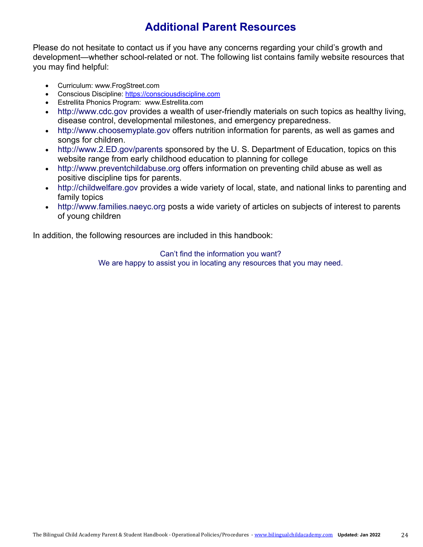# **Additional Parent Resources**

Please do not hesitate to contact us if you have any concerns regarding your child's growth and development—whether school-related or not. The following list contains family website resources that you may find helpful:

- Curriculum: www.FrogStreet.com
- Conscious Discipline: https://consciousdiscipline.com
- Estrellita Phonics Program: www.Estrellita.com
- http://www.cdc.gov provides a wealth of user-friendly materials on such topics as healthy living, disease control, developmental milestones, and emergency preparedness.
- http://www.choosemyplate.gov offers nutrition information for parents, as well as games and songs for children.
- http://www.2.ED.gov/parents sponsored by the U.S. Department of Education, topics on this website range from early childhood education to planning for college
- http://www.preventchildabuse.org offers information on preventing child abuse as well as positive discipline tips for parents.
- http://childwelfare.gov provides a wide variety of local, state, and national links to parenting and family topics
- http://www.families.naeyc.org posts a wide variety of articles on subjects of interest to parents of young children

In addition, the following resources are included in this handbook:

Can't find the information you want? We are happy to assist you in locating any resources that you may need.